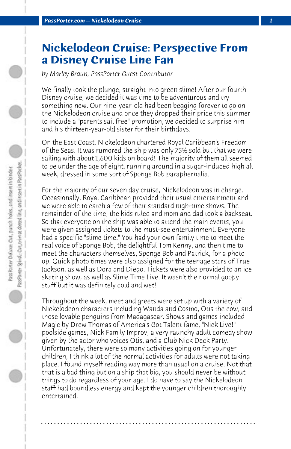## **Nickelodeon Cruise: Perspective From a Disney Cruise Line Fan**

*by Marley Braun, PassPorter Guest Contributor*

We finally took the plunge, straight into green slime! After our fourth Disney cruise, we decided it was time to be adventurous and try something new. Our nine-year-old had been begging forever to go on the Nickelodeon cruise and once they dropped their price this summer to include a "parents sail free" promotion, we decided to surprise him and his thirteen-year-old sister for their birthdays.

On the East Coast, Nickelodeon chartered Royal Caribbean's Freedom of the Seas. It was rumored the ship was only 75% sold but that we were sailing with about 1,600 kids on board! The majority of them all seemed to be under the age of eight, running around in a sugar-induced high all week, dressed in some sort of Sponge Bob paraphernalia.

For the majority of our seven day cruise, Nickelodeon was in charge. Occasionally, Royal Caribbean provided their usual entertainment and we were able to catch a few of their standard nighttime shows. The remainder of the time, the kids ruled and mom and dad took a backseat. So that everyone on the ship was able to attend the main events, you were given assigned tickets to the must-see entertainment. Everyone had a specific "slime time." You had your own family time to meet the real voice of Sponge Bob, the delightful Tom Kenny, and then time to meet the characters themselves, Sponge Bob and Patrick, for a photo op. Quick photo times were also assigned for the teenage stars of True Jackson, as well as Dora and Diego. Tickets were also provided to an ice skating show, as well as Slime Time Live. It wasn't the normal goopy stuff but it was definitely cold and wet!

Throughout the week, meet and greets were set up with a variety of Nickelodeon characters including Wanda and Cosmo, Otis the cow, and those lovable penguins from Madagascar. Shows and games included Magic by Drew Thomas of America's Got Talent fame, "Nick Live!" poolside games, Nick Family Improv, a very raunchy adult comedy show given by the actor who voices Otis, and a Club Nick Deck Party. Unfortunately, there were so many activities going on for younger children, I think a lot of the normal activities for adults were not taking place. I found myself reading way more than usual on a cruise. Not that that is a bad thing but on a ship that big, you should never be without things to do regardless of your age. I do have to say the Nickelodeon staff had boundless energy and kept the younger children thoroughly entertained.

**. . . . . . . . . . . . . . . . . . . . . . . . . . . . . . . . . . . . . . . . . . . . . . . . . . . . . . . . . . . . . . . . . .**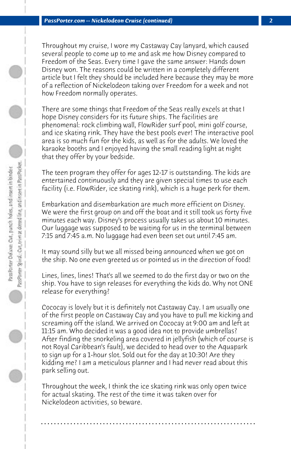Throughout my cruise, I wore my Castaway Cay lanyard, which caused several people to come up to me and ask me how Disney compared to Freedom of the Seas. Every time I gave the same answer: Hands down Disney won. The reasons could be written in a completely different article but I felt they should be included here because they may be more of a reflection of Nickelodeon taking over Freedom for a week and not how Freedom normally operates.

There are some things that Freedom of the Seas really excels at that I hope Disney considers for its future ships. The facilities are phenomenal: rock climbing wall, FlowRider surf pool, mini golf course, and ice skating rink. They have the best pools ever! The interactive pool area is so much fun for the kids, as well as for the adults. We loved the karaoke booths and I enjoyed having the small reading light at night that they offer by your bedside.

The teen program they offer for ages 12-17 is outstanding. The kids are entertained continuously and they are given special times to use each facility (i.e. FlowRider, ice skating rink), which is a huge perk for them.

Embarkation and disembarkation are much more efficient on Disney. We were the first group on and off the boat and it still took us forty five minutes each way. Disney's process usually takes us about 10 minutes. Our luggage was supposed to be waiting for us in the terminal between 7:15 and 7:45 a.m. No luggage had even been set out until 7:45 am.

It may sound silly but we all missed being announced when we got on the ship. No one even greeted us or pointed us in the direction of food!

Lines, lines, lines! That's all we seemed to do the first day or two on the ship. You have to sign releases for everything the kids do. Why not ONE release for everything?

Cococay is lovely but it is definitely not Castaway Cay. I am usually one of the first people on Castaway Cay and you have to pull me kicking and screaming off the island. We arrived on Cococay at 9:00 am and left at 11:15 am. Who decided it was a good idea not to provide umbrellas? After finding the snorkeling area covered in jellyfish (which of course is not Royal Caribbean's fault), we decided to head over to the Aquapark to sign up for a 1-hour slot. Sold out for the day at 10:30! Are they kidding me? I am a meticulous planner and I had never read about this park selling out.

Throughout the week, I think the ice skating rink was only open twice for actual skating. The rest of the time it was taken over for Nickelodeon activities, so beware.

**. . . . . . . . . . . . . . . . . . . . . . . . . . . . . . . . . . . . . . . . . . . . . . . . . . . . . . . . . . . . . . . . . .**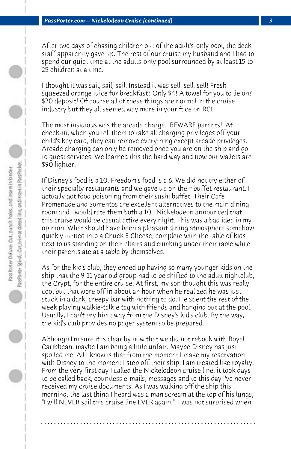After two days of chasing children out of the adult's-only pool, the deck staff apparently gave up. The rest of our cruise my husband and I had to spend our quiet time at the adults-only pool surrounded by at least 15 to 25 children at a time.

I thought it was sail, sail, sail. Instead it was sell, sell, sell! Fresh squeezed orange juice for breakfast? Only \$4! A towel for you to lie on? \$20 deposit! Of course all of these things are normal in the cruise industry but they all seemed way more in your face on RCL.

The most insidious was the arcade charge. BEWARE parents! At check-in, when you tell them to take all charging privileges off your child's key card, they can remove everything except arcade privileges. Arcade charging can only be removed once you are on the ship and go to guest services. We learned this the hard way and now our wallets are \$90 lighter.

If Disney's food is a 10, Freedom's food is a 6. We did not try either of their specialty restaurants and we gave up on their buffet restaurant. I actually got food poisoning from their sushi buffet. Their Cafe Promenade and Sorrentos are excellent alternatives to the main dining room and I would rate them both a 10. Nickelodeon announced that this cruise would be casual attire every night. This was a bad idea in my opinion. What should have been a pleasant dining atmosphere somehow quickly turned into a Chuck E Cheese, complete with the table of kids next to us standing on their chairs and climbing under their table while their parents ate at a table by themselves.

As for the kid's club, they ended up having so many younger kids on the ship that the 9-11 year old group had to be shifted to the adult nightclub, the Crypt, for the entire cruise. At first, my son thought this was really cool but that wore off in about an hour when he realized he was just stuck in a dark, creepy bar with nothing to do. He spent the rest of the week playing walkie-talkie tag with friends and hanging out at the pool. Usually, I can't pry him away from the Disney's kid's club. By the way, the kid's club provides no pager system so be prepared.

Although I'm sure it is clear by now that we did not rebook with Royal Caribbean, maybe I am being a little unfair. Maybe Disney has just spoiled me. All I know is that from the moment I make my reservation with Disney to the moment I step off their ship, I am treated like royalty. From the very first day I called the Nickelodeon cruise line, it took days to be called back, countless e-mails, messages and to this day I've never received my cruise documents. As I was walking off the ship this morning, the last thing I heard was a man scream at the top of his lungs, "I will NEVER sail this cruise line EVER again." I was not surprised when

**. . . . . . . . . . . . . . . . . . . . . . . . . . . . . . . . . . . . . . . . . . . . . . . . . . . . . . . . . . . . . . . . . .**